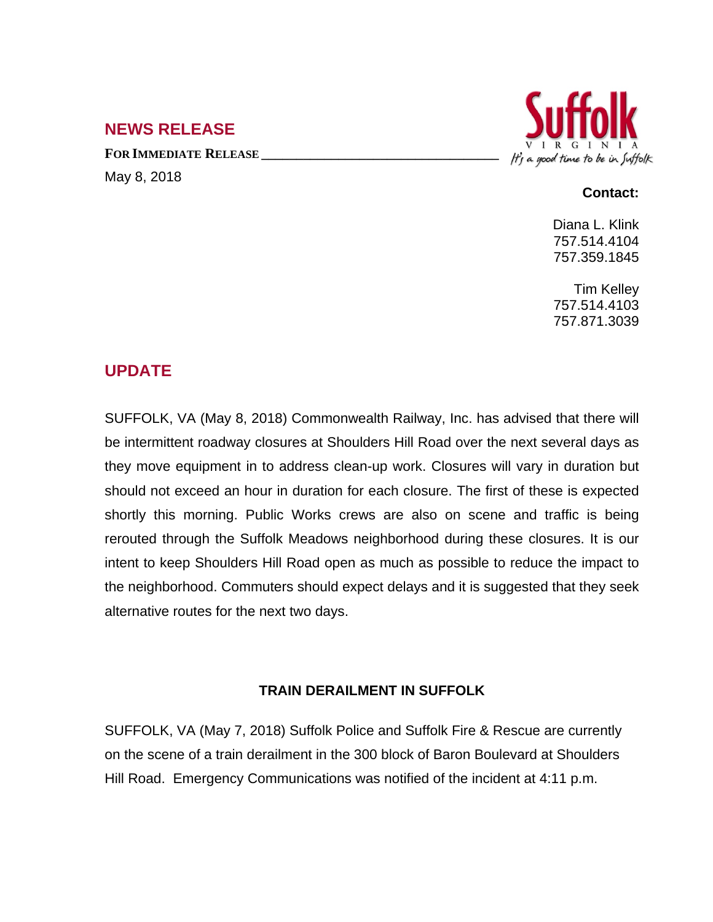## **NEWS RELEASE**

**FOR IMMEDIATE RELEASE \_\_\_\_\_\_\_\_\_\_\_\_\_\_\_\_\_\_\_\_\_\_\_\_\_\_\_\_\_\_\_\_\_\_** May 8, 2018



## **Contact:**

Diana L. Klink 757.514.4104 757.359.1845

Tim Kelley 757.514.4103 757.871.3039

## **UPDATE**

SUFFOLK, VA (May 8, 2018) Commonwealth Railway, Inc. has advised that there will be intermittent roadway closures at Shoulders Hill Road over the next several days as they move equipment in to address clean-up work. Closures will vary in duration but should not exceed an hour in duration for each closure. The first of these is expected shortly this morning. Public Works crews are also on scene and traffic is being rerouted through the Suffolk Meadows neighborhood during these closures. It is our intent to keep Shoulders Hill Road open as much as possible to reduce the impact to the neighborhood. Commuters should expect delays and it is suggested that they seek alternative routes for the next two days.

## **TRAIN DERAILMENT IN SUFFOLK**

SUFFOLK, VA (May 7, 2018) Suffolk Police and Suffolk Fire & Rescue are currently on the scene of a train derailment in the 300 block of Baron Boulevard at Shoulders Hill Road. Emergency Communications was notified of the incident at 4:11 p.m.